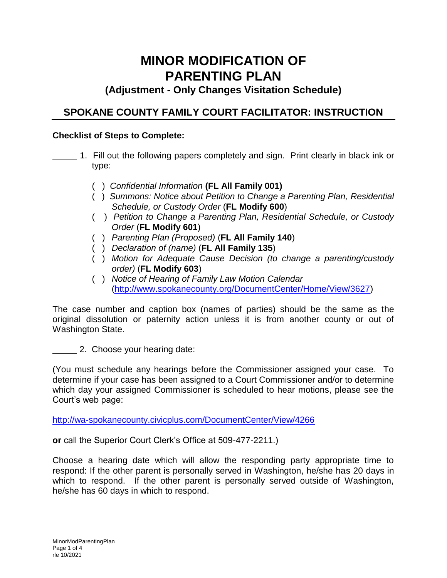# **MINOR MODIFICATION OF PARENTING PLAN**

#### **(Adjustment - Only Changes Visitation Schedule)**

### **SPOKANE COUNTY FAMILY COURT FACILITATOR: INSTRUCTION**

#### **Checklist of Steps to Complete:**

- \_\_\_\_\_ 1. Fill out the following papers completely and sign. Print clearly in black ink or type:
	- ( ) *Confidential Information* **(FL All Family 001)**
	- ( )*Summons: Notice about Petition to Change a Parenting Plan, Residential Schedule, or Custody Order* (**FL Modify 600**)
	- ( ) *Petition to Change a Parenting Plan, Residential Schedule, or Custody Order* (**FL Modify 601**)
	- ( ) *Parenting Plan (Proposed)* (**FL All Family 140**)
	- ( ) *Declaration of (name)* (**FL All Family 135**)
	- ( ) *Motion for Adequate Cause Decision (to change a parenting/custody order)* (**FL Modify 603**)
	- ( ) *Notice of Hearing of Family Law Motion Calendar* [\(http://www.spokanecounty.org/DocumentCenter/Home/View/3627\)](http://www.spokanecounty.org/DocumentCenter/Home/View/3627)

The case number and caption box (names of parties) should be the same as the original dissolution or paternity action unless it is from another county or out of Washington State.

2. Choose your hearing date:

(You must schedule any hearings before the Commissioner assigned your case. To determine if your case has been assigned to a Court Commissioner and/or to determine which day your assigned Commissioner is scheduled to hear motions, please see the Court's web page:

<http://wa-spokanecounty.civicplus.com/DocumentCenter/View/4266>

**or** call the Superior Court Clerk's Office at 509-477-2211.)

Choose a hearing date which will allow the responding party appropriate time to respond: If the other parent is personally served in Washington, he/she has 20 days in which to respond. If the other parent is personally served outside of Washington, he/she has 60 days in which to respond.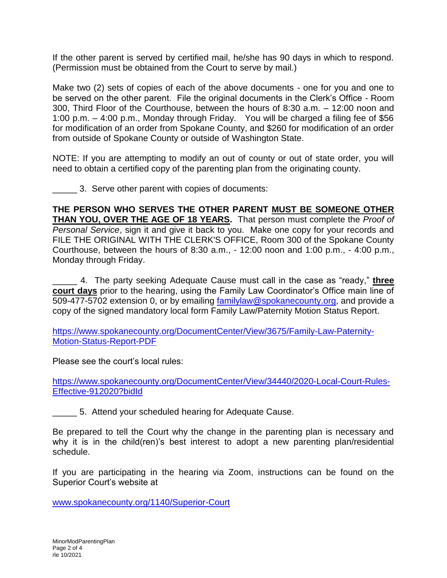If the other parent is served by certified mail, he/she has 90 days in which to respond. (Permission must be obtained from the Court to serve by mail.)

Make two (2) sets of copies of each of the above documents - one for you and one to be served on the other parent. File the original documents in the Clerk's Office - Room 300, Third Floor of the Courthouse, between the hours of 8:30 a.m. – 12:00 noon and 1:00 p.m. – 4:00 p.m., Monday through Friday. You will be charged a filing fee of \$56 for modification of an order from Spokane County, and \$260 for modification of an order from outside of Spokane County or outside of Washington State.

NOTE: If you are attempting to modify an out of county or out of state order, you will need to obtain a certified copy of the parenting plan from the originating county.

3. Serve other parent with copies of documents:

**THE PERSON WHO SERVES THE OTHER PARENT MUST BE SOMEONE OTHER THAN YOU, OVER THE AGE OF 18 YEARS.** That person must complete the *Proof of Personal Service*, sign it and give it back to you. Make one copy for your records and FILE THE ORIGINAL WITH THE CLERK'S OFFICE, Room 300 of the Spokane County Courthouse, between the hours of 8:30 a.m., - 12:00 noon and 1:00 p.m., - 4:00 p.m., Monday through Friday.

\_\_\_\_\_ 4. The party seeking Adequate Cause must call in the case as "ready," **three court days** prior to the hearing, using the Family Law Coordinator's Office main line of 509-477-5702 extension 0, or by emailing [familylaw@spokanecounty.org,](mailto:familylaw@spokanecounty.org) and provide a copy of the signed mandatory local form Family Law/Paternity Motion Status Report.

[https://www.spokanecounty.org/DocumentCenter/View/3675/Family-Law-Paternity-](https://www.spokanecounty.org/DocumentCenter/View/3675/Family-Law-Paternity-Motion-Status-Report-PDF)[Motion-Status-Report-PDF](https://www.spokanecounty.org/DocumentCenter/View/3675/Family-Law-Paternity-Motion-Status-Report-PDF)

Please see the court's local rules:

[https://www.spokanecounty.org/DocumentCenter/View/34440/2020-Local-Court-Rules-](https://www.spokanecounty.org/DocumentCenter/View/34440/2020-Local-Court-Rules-Effective-912020?bidId)[Effective-912020?bidId](https://www.spokanecounty.org/DocumentCenter/View/34440/2020-Local-Court-Rules-Effective-912020?bidId)

\_\_\_\_\_ 5. Attend your scheduled hearing for Adequate Cause.

Be prepared to tell the Court why the change in the parenting plan is necessary and why it is in the child(ren)'s best interest to adopt a new parenting plan/residential schedule.

If you are participating in the hearing via Zoom, instructions can be found on the Superior Court's website at

[www.spokanecounty.org/1140/Superior-Court](http://www.spokanecounty.org/1140/Superior-Court)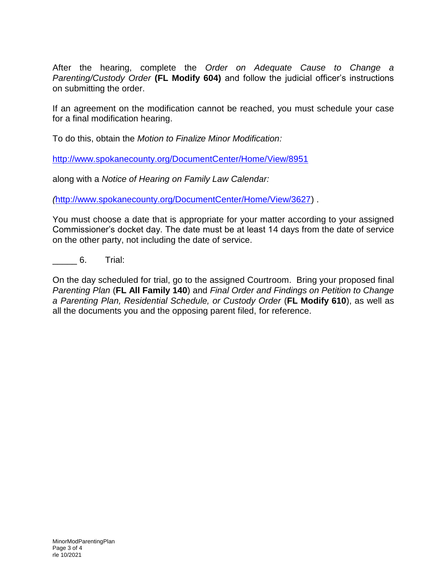After the hearing, complete the *Order on Adequate Cause to Change a Parenting/Custody Order* **(FL Modify 604)** and follow the judicial officer's instructions on submitting the order.

If an agreement on the modification cannot be reached, you must schedule your case for a final modification hearing.

To do this, obtain the *Motion to Finalize Minor Modification:*

<http://www.spokanecounty.org/DocumentCenter/Home/View/8951>

along with a *Notice of Hearing on Family Law Calendar:*

*(*[http://www.spokanecounty.org/DocumentCenter/Home/View/3627\)](http://www.spokanecounty.org/DocumentCenter/Home/View/3627) .

You must choose a date that is appropriate for your matter according to your assigned Commissioner's docket day. The date must be at least 14 days from the date of service on the other party, not including the date of service.

\_\_\_\_\_ 6. Trial:

On the day scheduled for trial, go to the assigned Courtroom. Bring your proposed final *Parenting Plan* (**FL All Family 140**) and *Final Order and Findings on Petition to Change a Parenting Plan, Residential Schedule, or Custody Order* (**FL Modify 610**), as well as all the documents you and the opposing parent filed, for reference.